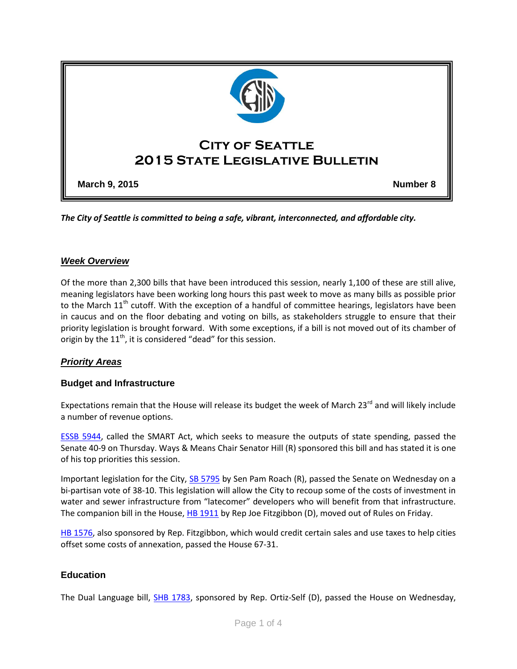

*The City of Seattle is committed to being a safe, vibrant, interconnected, and affordable city.* 

#### *Week Overview*

Of the more than 2,300 bills that have been introduced this session, nearly 1,100 of these are still alive, meaning legislators have been working long hours this past week to move as many bills as possible prior to the March  $11<sup>th</sup>$  cutoff. With the exception of a handful of committee hearings, legislators have been in caucus and on the floor debating and voting on bills, as stakeholders struggle to ensure that their priority legislation is brought forward. With some exceptions, if a bill is not moved out of its chamber of origin by the  $11<sup>th</sup>$ , it is considered "dead" for this session.

## *Priority Areas*

#### **Budget and Infrastructure**

Expectations remain that the House will release its budget the week of March 23<sup>rd</sup> and will likely include a number of revenue options.

[ESSB 5944,](http://app.leg.wa.gov/billinfo/summary.aspx?bill=5944&year=2015) called the SMART Act, which seeks to measure the outputs of state spending, passed the Senate 40-9 on Thursday. Ways & Means Chair Senator Hill (R) sponsored this bill and has stated it is one of his top priorities this session.

Important legislation for the City, [SB 5795](http://app.leg.wa.gov/billinfo/summary.aspx?bill=5795&year=2015) by Sen Pam Roach (R), passed the Senate on Wednesday on a bi-partisan vote of 38-10. This legislation will allow the City to recoup some of the costs of investment in water and sewer infrastructure from "latecomer" developers who will benefit from that infrastructure. The companion bill in the House, [HB 1911](http://app.leg.wa.gov/billinfo/summary.aspx?bill=1911&year=2015) by Rep Joe Fitzgibbon (D), moved out of Rules on Friday.

[HB 1576,](http://app.leg.wa.gov/DLR/billsummary/default.aspx?bill=1576&year=2015) also sponsored by Rep. Fitzgibbon, which would credit certain sales and use taxes to help cities offset some costs of annexation, passed the House 67-31.

#### **Education**

The Dual Language bill, **SHB 1783**, sponsored by Rep. Ortiz-Self (D), passed the House on Wednesday,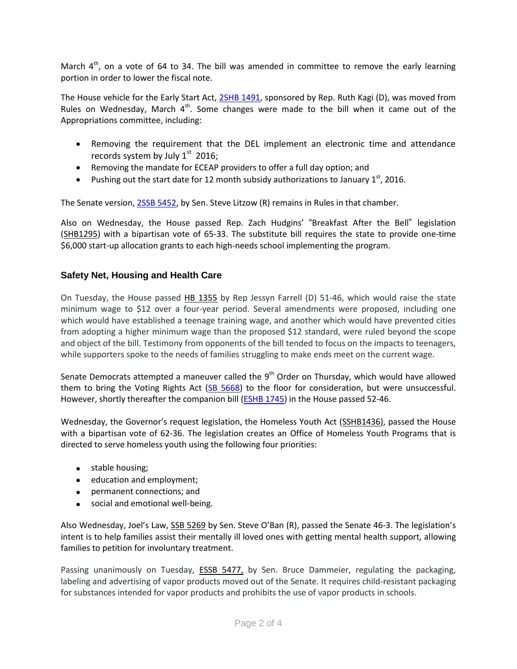March  $4<sup>th</sup>$ , on a vote of 64 to 34. The bill was amended in committee to remove the early learning portion in order to lower the fiscal note.

The House vehicle for the Early Start Act, [2SHB 1491,](http://app.leg.wa.gov/billinfo/summary.aspx?bill=1491&year=2015) sponsored by Rep. Ruth Kagi (D), was moved from Rules on Wednesday, March  $4<sup>th</sup>$ . Some changes were made to the bill when it came out of the Appropriations committee, including:

- Removing the requirement that the DEL implement an electronic time and attendance records system by July  $1<sup>st</sup>$  2016;
- Removing the mandate for ECEAP providers to offer a full day option; and
- Pushing out the start date for 12 month subsidy authorizations to January  $1^{st}$ , 2016.

The Senate version, [2SSB 5452,](http://app.leg.wa.gov/billinfo/summary.aspx?bill=5452&year=2015) by Sen. Steve Litzow (R) remains in Rules in that chamber.

Also on Wednesday, the House passed Rep. Zach Hudgins' "Breakfast After the Bell" legislation [\(SHB1295\)](http://app.leg.wa.gov/billinfo/summary.aspx?bill=1295&year=2015) with a bipartisan vote of 65-33. The substitute bill requires the state to provide one-time \$6,000 start-up allocation grants to each high-needs school implementing the program.

# **Safety Net, Housing and Health Care**

On Tuesday, the House passed [HB 1355](http://app.leg.wa.gov/billinfo/summary.aspx?bill=1355&year=2015) by Rep Jessyn Farrell (D) 51-46, which would raise the state minimum wage to \$12 over a four-year period. Several amendments were proposed, including one which would have established a teenage training wage, and another which would have prevented cities from adopting a higher minimum wage than the proposed \$12 standard, were ruled beyond the scope and object of the bill. Testimony from opponents of the bill tended to focus on the impacts to teenagers, while supporters spoke to the needs of families struggling to make ends meet on the current wage.

Senate Democrats attempted a maneuver called the 9<sup>th</sup> Order on Thursday, which would have allowed them to bring the Voting Rights Act [\(SB 5668\)](http://app.leg.wa.gov/billinfo/summary.aspx?bill=5668&year=2015) to the floor for consideration, but were unsuccessful. However, shortly thereafter the companion bill [\(ESHB 1745\)](http://app.leg.wa.gov/billinfo/summary.aspx?bill=1745&year=2015) in the House passed 52-46.

Wednesday, the Governor's request legislation, the Homeless Youth Act [\(SSHB1436\)](http://app.leg.wa.gov/billinfo/summary.aspx?bill=1436&year=2015), passed the House with a bipartisan vote of 62-36. The legislation creates an Office of Homeless Youth Programs that is directed to serve homeless youth using the following four priorities:

- stable housing;
- education and employment;
- permanent connections; and
- social and emotional well-being.

Also Wednesday, Joel's Law, [SSB 5269](http://app.leg.wa.gov/billinfo/summary.aspx?bill=5269&year=2015) by Sen. Steve O'Ban (R), passed the Senate 46-3. The legislation's intent is to help families assist their mentally ill loved ones with getting mental health support, allowing families to petition for involuntary treatment.

Passing unanimously on Tuesday, **ESSB 5477**, by Sen. Bruce Dammeier, regulating the packaging, labeling and advertising of vapor products moved out of the Senate. It requires child-resistant packaging for substances intended for vapor products and prohibits the use of vapor products in schools.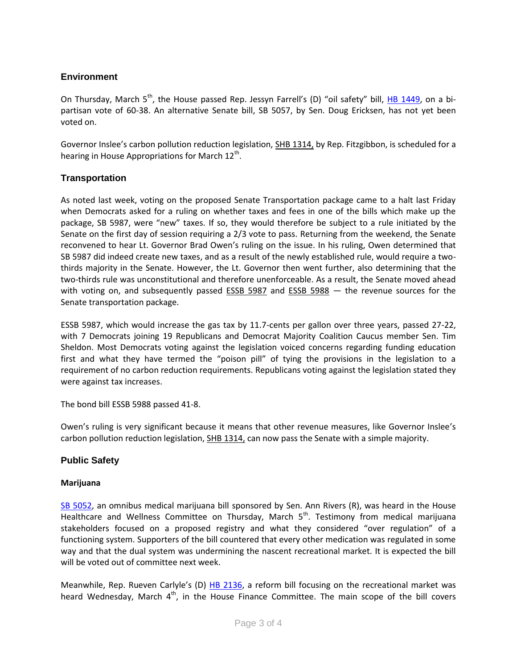# **Environment**

On Thursday, March 5<sup>th</sup>, the House passed Rep. Jessyn Farrell's (D) "oil safety" bill, [HB 1449,](http://apps.leg.wa.gov/billinfo/summary.aspx?bill=1449&year=2015) on a bipartisan vote of 60-38. An alternative Senate bill, SB 5057, by Sen. Doug Ericksen, has not yet been voted on.

Governor Inslee's carbon pollution reduction legislation, [SHB 1314,](http://app.leg.wa.gov/billinfo/summary.aspx?bill=1314&year=2015) by Rep. Fitzgibbon, is scheduled for a hearing in House Appropriations for March  $12^{th}$ .

# **Transportation**

As noted last week, voting on the proposed Senate Transportation package came to a halt last Friday when Democrats asked for a ruling on whether taxes and fees in one of the bills which make up the package, SB 5987, were "new" taxes. If so, they would therefore be subject to a rule initiated by the Senate on the first day of session requiring a 2/3 vote to pass. Returning from the weekend, the Senate reconvened to hear Lt. Governor Brad Owen's ruling on the issue. In his ruling, Owen determined that SB 5987 did indeed create new taxes, and as a result of the newly established rule, would require a twothirds majority in the Senate. However, the Lt. Governor then went further, also determining that the two-thirds rule was unconstitutional and therefore unenforceable. As a result, the Senate moved ahead with voting on, and subsequently passed  $ESSB$  5987 and  $ESSB$  5988  $-$  the revenue sources for the Senate transportation package.

ESSB 5987, which would increase the gas tax by 11.7-cents per gallon over three years, passed 27-22, with 7 Democrats joining 19 Republicans and Democrat Majority Coalition Caucus member Sen. Tim Sheldon. Most Democrats voting against the legislation voiced concerns regarding funding education first and what they have termed the "poison pill" of tying the provisions in the legislation to a requirement of no carbon reduction requirements. Republicans voting against the legislation stated they were against tax increases.

The bond bill ESSB 5988 passed 41-8.

Owen's ruling is very significant because it means that other revenue measures, like Governor Inslee's carbon pollution reduction legislation, [SHB 1314,](http://app.leg.wa.gov/billinfo/summary.aspx?bill=1314&year=2015) can now pass the Senate with a simple majority.

## **Public Safety**

## **Marijuana**

[SB 5052,](http://apps.leg.wa.gov/billinfo/summary.aspx?bill=5052&year=2015) an omnibus medical marijuana bill sponsored by Sen. Ann Rivers (R), was heard in the House Healthcare and Wellness Committee on Thursday, March 5<sup>th</sup>. Testimony from medical marijuana stakeholders focused on a proposed registry and what they considered "over regulation" of a functioning system. Supporters of the bill countered that every other medication was regulated in some way and that the dual system was undermining the nascent recreational market. It is expected the bill will be voted out of committee next week.

Meanwhile, Rep. Rueven Carlyle's (D) [HB 2136,](http://apps.leg.wa.gov/billinfo/summary.aspx?bill=2136&year=2015) a reform bill focusing on the recreational market was heard Wednesday, March  $4<sup>th</sup>$ , in the House Finance Committee. The main scope of the bill covers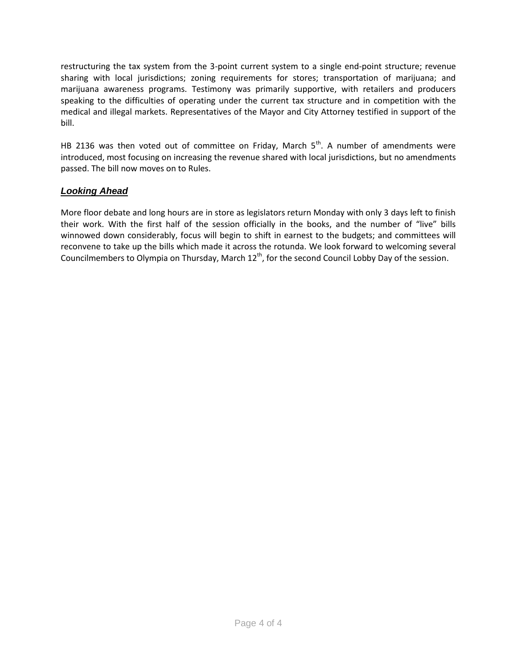restructuring the tax system from the 3-point current system to a single end-point structure; revenue sharing with local jurisdictions; zoning requirements for stores; transportation of marijuana; and marijuana awareness programs. Testimony was primarily supportive, with retailers and producers speaking to the difficulties of operating under the current tax structure and in competition with the medical and illegal markets. Representatives of the Mayor and City Attorney testified in support of the bill.

HB 2136 was then voted out of committee on Friday, March  $5^{th}$ . A number of amendments were introduced, most focusing on increasing the revenue shared with local jurisdictions, but no amendments passed. The bill now moves on to Rules.

# *Looking Ahead*

More floor debate and long hours are in store as legislators return Monday with only 3 days left to finish their work. With the first half of the session officially in the books, and the number of "live" bills winnowed down considerably, focus will begin to shift in earnest to the budgets; and committees will reconvene to take up the bills which made it across the rotunda. We look forward to welcoming several Councilmembers to Olympia on Thursday, March  $12<sup>th</sup>$ , for the second Council Lobby Day of the session.